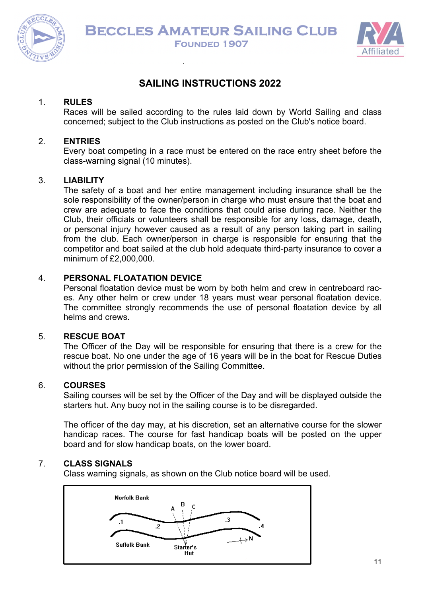



## **SAILING INSTRUCTIONS 2022**

## 1. **RULES**

Races will be sailed according to the rules laid down by World Sailing and class concerned; subject to the Club instructions as posted on the Club's notice board.

## 2. **ENTRIES**

Every boat competing in a race must be entered on the race entry sheet before the class-warning signal (10 minutes).

## 3. **LIABILITY**

The safety of a boat and her entire management including insurance shall be the sole responsibility of the owner/person in charge who must ensure that the boat and crew are adequate to face the conditions that could arise during race. Neither the Club, their officials or volunteers shall be responsible for any loss, damage, death, or personal injury however caused as a result of any person taking part in sailing from the club. Each owner/person in charge is responsible for ensuring that the competitor and boat sailed at the club hold adequate third-party insurance to cover a minimum of £2,000,000.

## 4. **PERSONAL FLOATATION DEVICE**

Personal floatation device must be worn by both helm and crew in centreboard races. Any other helm or crew under 18 years must wear personal floatation device. The committee strongly recommends the use of personal floatation device by all helms and crews.

## 5. **RESCUE BOAT**

The Officer of the Day will be responsible for ensuring that there is a crew for the rescue boat. No one under the age of 16 years will be in the boat for Rescue Duties without the prior permission of the Sailing Committee.

## 6. **COURSES**

Sailing courses will be set by the Officer of the Day and will be displayed outside the starters hut. Any buoy not in the sailing course is to be disregarded.

The officer of the day may, at his discretion, set an alternative course for the slower handicap races. The course for fast handicap boats will be posted on the upper board and for slow handicap boats, on the lower board.

## 7. **CLASS SIGNALS**

Class warning signals, as shown on the Club notice board will be used.

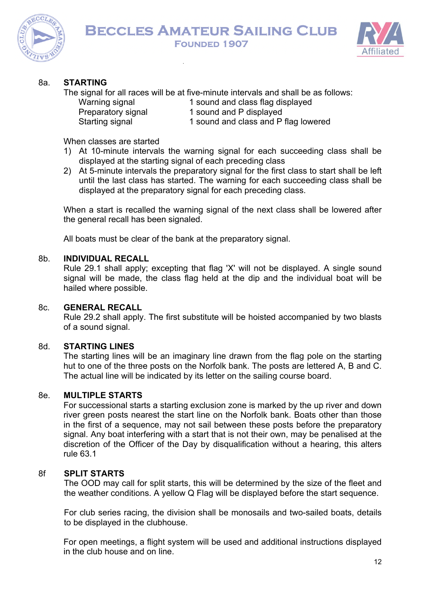



## 8a. **STARTING**

The signal for all races will be at five-minute intervals and shall be as follows:

- Warning signal 1 sound and class flag displayed
- Preparatory signal 1 sound and P displayed
- Starting signal 1 sound and class and P flag lowered

When classes are started

- 1) At 10-minute intervals the warning signal for each succeeding class shall be displayed at the starting signal of each preceding class
- 2) At 5-minute intervals the preparatory signal for the first class to start shall be left until the last class has started. The warning for each succeeding class shall be displayed at the preparatory signal for each preceding class.

When a start is recalled the warning signal of the next class shall be lowered after the general recall has been signaled.

All boats must be clear of the bank at the preparatory signal.

#### 8b. **INDIVIDUAL RECALL**

Rule 29.1 shall apply; excepting that flag 'X' will not be displayed. A single sound signal will be made, the class flag held at the dip and the individual boat will be hailed where possible.

#### 8c. **GENERAL RECALL**

Rule 29.2 shall apply. The first substitute will be hoisted accompanied by two blasts of a sound signal.

## 8d. **STARTING LINES**

The starting lines will be an imaginary line drawn from the flag pole on the starting hut to one of the three posts on the Norfolk bank. The posts are lettered A, B and C. The actual line will be indicated by its letter on the sailing course board.

## 8e. **MULTIPLE STARTS**

For successional starts a starting exclusion zone is marked by the up river and down river green posts nearest the start line on the Norfolk bank. Boats other than those in the first of a sequence, may not sail between these posts before the preparatory signal. Any boat interfering with a start that is not their own, may be penalised at the discretion of the Officer of the Day by disqualification without a hearing, this alters rule 63.1

#### 8f **SPLIT STARTS**

The OOD may call for split starts, this will be determined by the size of the fleet and the weather conditions. A yellow Q Flag will be displayed before the start sequence.

For club series racing, the division shall be monosails and two-sailed boats, details to be displayed in the clubhouse.

For open meetings, a flight system will be used and additional instructions displayed in the club house and on line.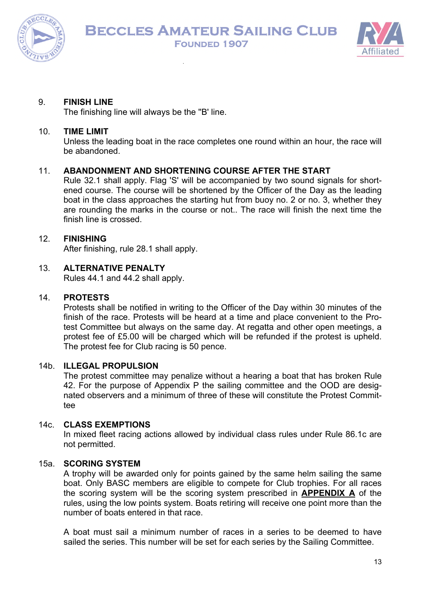



## 9. **FINISH LINE**

The finishing line will always be the ''B' line.

#### 10. **TIME LIMIT**

Unless the leading boat in the race completes one round within an hour, the race will be abandoned.

## 11. **ABANDONMENT AND SHORTENING COURSE AFTER THE START**

Rule 32.1 shall apply. Flag 'S' will be accompanied by two sound signals for shortened course. The course will be shortened by the Officer of the Day as the leading boat in the class approaches the starting hut from buoy no. 2 or no. 3, whether they are rounding the marks in the course or not.. The race will finish the next time the finish line is crossed.

## 12. **FINISHING**

After finishing, rule 28.1 shall apply.

## 13. **ALTERNATIVE PENALTY**

Rules 44.1 and 44.2 shall apply.

#### 14. **PROTESTS**

Protests shall be notified in writing to the Officer of the Day within 30 minutes of the finish of the race. Protests will be heard at a time and place convenient to the Protest Committee but always on the same day. At regatta and other open meetings, a protest fee of £5.00 will be charged which will be refunded if the protest is upheld. The protest fee for Club racing is 50 pence.

#### 14b. **ILLEGAL PROPULSION**

The protest committee may penalize without a hearing a boat that has broken Rule 42. For the purpose of Appendix P the sailing committee and the OOD are designated observers and a minimum of three of these will constitute the Protest Committee

## 14c. **CLASS EXEMPTIONS**

In mixed fleet racing actions allowed by individual class rules under Rule 86.1c are not permitted.

## 15a. **SCORING SYSTEM**

A trophy will be awarded only for points gained by the same helm sailing the same boat. Only BASC members are eligible to compete for Club trophies. For all races the scoring system will be the scoring system prescribed in **APPENDIX A** of the rules, using the low points system. Boats retiring will receive one point more than the number of boats entered in that race.

A boat must sail a minimum number of races in a series to be deemed to have sailed the series. This number will be set for each series by the Sailing Committee.